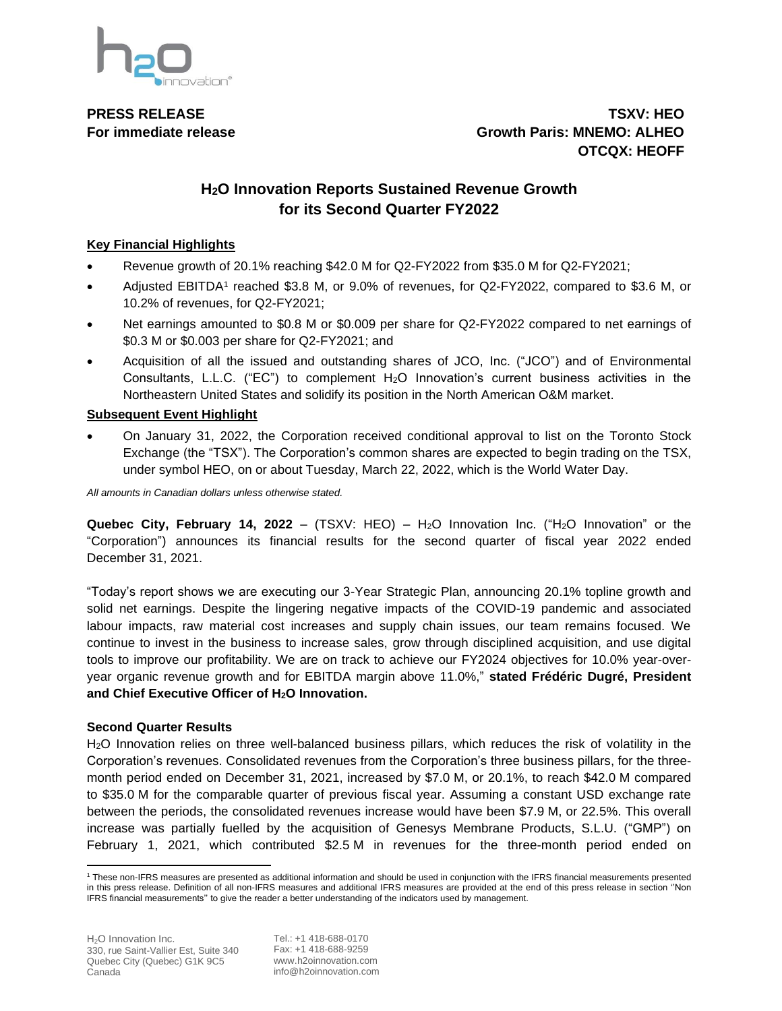

**PRESS RELEASE TSXV: HEO For immediate release Growth Paris: MNEMO: ALHEO OTCQX: HEOFF**

# **H2O Innovation Reports Sustained Revenue Growth for its Second Quarter FY2022**

## **Key Financial Highlights**

- Revenue growth of 20.1% reaching \$42.0 M for Q2-FY2022 from \$35.0 M for Q2-FY2021;
- Adjusted EBITDA1 reached \$3.8 M, or 9.0% of revenues, for Q2-FY2022, compared to \$3.6 M, or 10.2% of revenues, for Q2-FY2021;
- Net earnings amounted to \$0.8 M or \$0.009 per share for Q2-FY2022 compared to net earnings of \$0.3 M or \$0.003 per share for Q2-FY2021; and
- Acquisition of all the issued and outstanding shares of JCO, Inc. ("JCO") and of Environmental Consultants, L.L.C. ("EC") to complement H2O Innovation's current business activities in the Northeastern United States and solidify its position in the North American O&M market.

## **Subsequent Event Highlight**

• On January 31, 2022, the Corporation received conditional approval to list on the Toronto Stock Exchange (the "TSX"). The Corporation's common shares are expected to begin trading on the TSX, under symbol HEO, on or about Tuesday, March 22, 2022, which is the World Water Day.

*All amounts in Canadian dollars unless otherwise stated.*

**Quebec City, February 14, 2022** – (TSXV: HEO) – H2O Innovation Inc. ("H2O Innovation" or the "Corporation") announces its financial results for the second quarter of fiscal year 2022 ended December 31, 2021.

"Today's report shows we are executing our 3-Year Strategic Plan, announcing 20.1% topline growth and solid net earnings. Despite the lingering negative impacts of the COVID-19 pandemic and associated labour impacts, raw material cost increases and supply chain issues, our team remains focused. We continue to invest in the business to increase sales, grow through disciplined acquisition, and use digital tools to improve our profitability. We are on track to achieve our FY2024 objectives for 10.0% year-overyear organic revenue growth and for EBITDA margin above 11.0%," **stated Frédéric Dugré, President and Chief Executive Officer of H2O Innovation.**

## **Second Quarter Results**

H2O Innovation relies on three well-balanced business pillars, which reduces the risk of volatility in the Corporation's revenues. Consolidated revenues from the Corporation's three business pillars, for the threemonth period ended on December 31, 2021, increased by \$7.0 M, or 20.1%, to reach \$42.0 M compared to \$35.0 M for the comparable quarter of previous fiscal year. Assuming a constant USD exchange rate between the periods, the consolidated revenues increase would have been \$7.9 M, or 22.5%. This overall increase was partially fuelled by the acquisition of Genesys Membrane Products, S.L.U. ("GMP") on February 1, 2021, which contributed \$2.5 M in revenues for the three-month period ended on

<sup>1</sup> These non-IFRS measures are presented as additional information and should be used in conjunction with the IFRS financial measurements presented in this press release. Definition of all non-IFRS measures and additional IFRS measures are provided at the end of this press release in section ''Non IFRS financial measurements'' to give the reader a better understanding of the indicators used by management.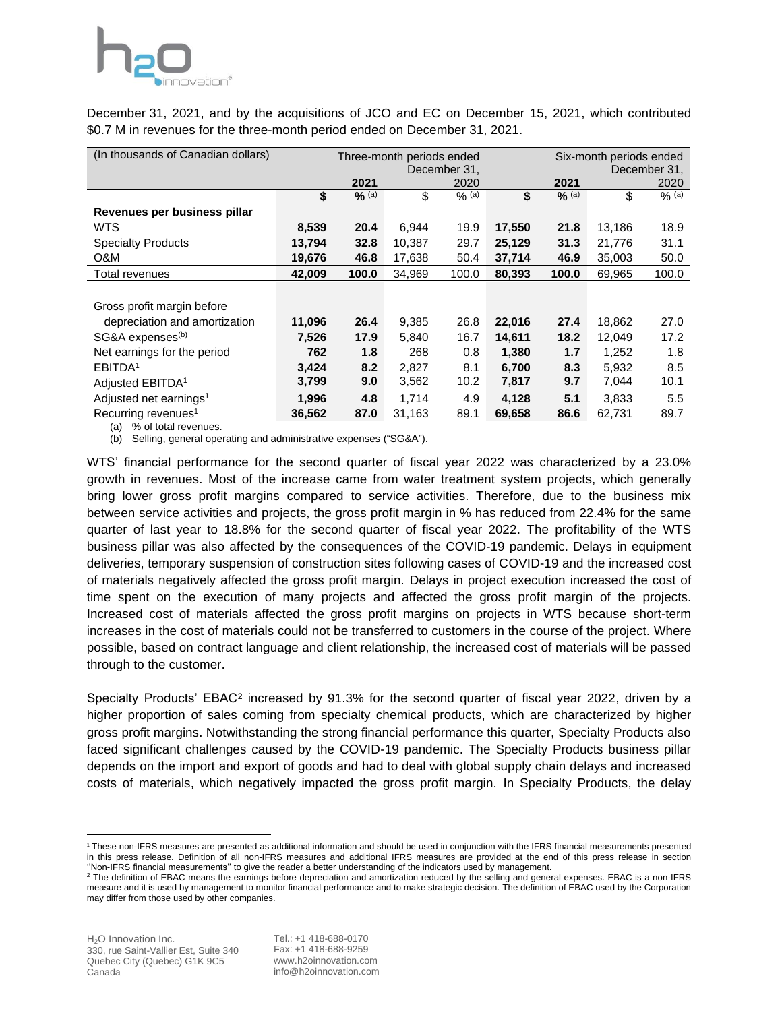

December 31, 2021, and by the acquisitions of JCO and EC on December 15, 2021, which contributed \$0.7 M in revenues for the three-month period ended on December 31, 2021.

| (In thousands of Canadian dollars) | Three-month periods ended<br>December 31, |                   |        |         | Six-month periods ended<br>December 31, |         |        |           |
|------------------------------------|-------------------------------------------|-------------------|--------|---------|-----------------------------------------|---------|--------|-----------|
|                                    |                                           | 2021              |        | 2020    |                                         | 2021    |        | 2020      |
|                                    | \$                                        | $\frac{6}{6}$ (a) | \$     | $%$ (a) | \$                                      | $%$ (a) | \$     | $9/6$ (a) |
| Revenues per business pillar       |                                           |                   |        |         |                                         |         |        |           |
| <b>WTS</b>                         | 8,539                                     | 20.4              | 6,944  | 19.9    | 17,550                                  | 21.8    | 13,186 | 18.9      |
| <b>Specialty Products</b>          | 13,794                                    | 32.8              | 10,387 | 29.7    | 25,129                                  | 31.3    | 21,776 | 31.1      |
| O&M                                | 19,676                                    | 46.8              | 17,638 | 50.4    | 37,714                                  | 46.9    | 35,003 | 50.0      |
| Total revenues                     | 42,009                                    | 100.0             | 34,969 | 100.0   | 80,393                                  | 100.0   | 69,965 | 100.0     |
|                                    |                                           |                   |        |         |                                         |         |        |           |
| Gross profit margin before         |                                           |                   |        |         |                                         |         |        |           |
| depreciation and amortization      | 11,096                                    | 26.4              | 9,385  | 26.8    | 22,016                                  | 27.4    | 18,862 | 27.0      |
| SG&A expenses <sup>(b)</sup>       | 7,526                                     | 17.9              | 5,840  | 16.7    | 14,611                                  | 18.2    | 12,049 | 17.2      |
| Net earnings for the period        | 762                                       | 1.8               | 268    | 0.8     | 1,380                                   | 1.7     | 1,252  | 1.8       |
| EBITDA <sup>1</sup>                | 3,424                                     | 8.2               | 2,827  | 8.1     | 6,700                                   | 8.3     | 5,932  | 8.5       |
| Adjusted EBITDA <sup>1</sup>       | 3,799                                     | 9.0               | 3,562  | 10.2    | 7,817                                   | 9.7     | 7,044  | 10.1      |
| Adjusted net earnings <sup>1</sup> | 1,996                                     | 4.8               | 1,714  | 4.9     | 4,128                                   | 5.1     | 3,833  | 5.5       |
| Recurring revenues <sup>1</sup>    | 36,562                                    | 87.0              | 31,163 | 89.1    | 69,658                                  | 86.6    | 62,731 | 89.7      |

(a) % of total revenues.

(b) Selling, general operating and administrative expenses ("SG&A").

WTS' financial performance for the second quarter of fiscal year 2022 was characterized by a 23.0% growth in revenues. Most of the increase came from water treatment system projects, which generally bring lower gross profit margins compared to service activities. Therefore, due to the business mix between service activities and projects, the gross profit margin in % has reduced from 22.4% for the same quarter of last year to 18.8% for the second quarter of fiscal year 2022. The profitability of the WTS business pillar was also affected by the consequences of the COVID-19 pandemic. Delays in equipment deliveries, temporary suspension of construction sites following cases of COVID-19 and the increased cost of materials negatively affected the gross profit margin. Delays in project execution increased the cost of time spent on the execution of many projects and affected the gross profit margin of the projects. Increased cost of materials affected the gross profit margins on projects in WTS because short-term increases in the cost of materials could not be transferred to customers in the course of the project. Where possible, based on contract language and client relationship, the increased cost of materials will be passed through to the customer.

Specialty Products' EBAC<sup>2</sup> increased by 91.3% for the second quarter of fiscal year 2022, driven by a higher proportion of sales coming from specialty chemical products, which are characterized by higher gross profit margins. Notwithstanding the strong financial performance this quarter, Specialty Products also faced significant challenges caused by the COVID-19 pandemic. The Specialty Products business pillar depends on the import and export of goods and had to deal with global supply chain delays and increased costs of materials, which negatively impacted the gross profit margin. In Specialty Products, the delay

<sup>1</sup> These non-IFRS measures are presented as additional information and should be used in conjunction with the IFRS financial measurements presented in this press release. Definition of all non-IFRS measures and additional IFRS measures are provided at the end of this press release in section ''Non-IFRS financial measurements'' to give the reader a better understanding of the indicators used by management.

<sup>&</sup>lt;sup>2</sup> The definition of EBAC means the earnings before depreciation and amortization reduced by the selling and general expenses. EBAC is a non-IFRS measure and it is used by management to monitor financial performance and to make strategic decision. The definition of EBAC used by the Corporation may differ from those used by other companies.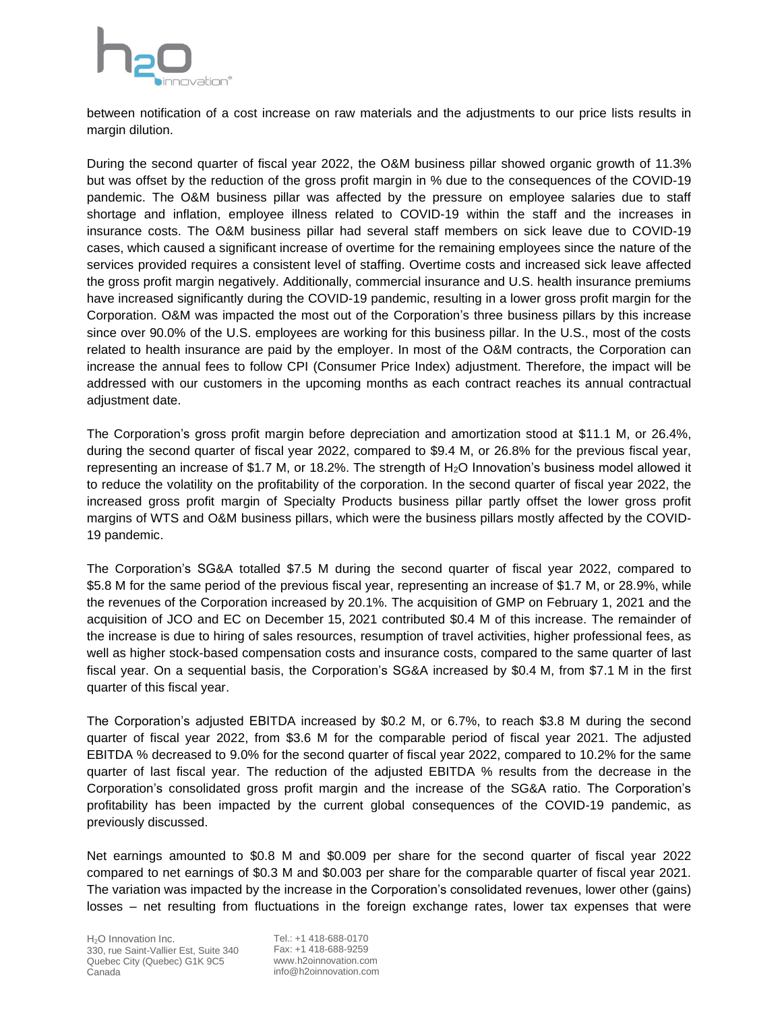

between notification of a cost increase on raw materials and the adjustments to our price lists results in margin dilution.

During the second quarter of fiscal year 2022, the O&M business pillar showed organic growth of 11.3% but was offset by the reduction of the gross profit margin in % due to the consequences of the COVID-19 pandemic. The O&M business pillar was affected by the pressure on employee salaries due to staff shortage and inflation, employee illness related to COVID-19 within the staff and the increases in insurance costs. The O&M business pillar had several staff members on sick leave due to COVID-19 cases, which caused a significant increase of overtime for the remaining employees since the nature of the services provided requires a consistent level of staffing. Overtime costs and increased sick leave affected the gross profit margin negatively. Additionally, commercial insurance and U.S. health insurance premiums have increased significantly during the COVID-19 pandemic, resulting in a lower gross profit margin for the Corporation. O&M was impacted the most out of the Corporation's three business pillars by this increase since over 90.0% of the U.S. employees are working for this business pillar. In the U.S., most of the costs related to health insurance are paid by the employer. In most of the O&M contracts, the Corporation can increase the annual fees to follow CPI (Consumer Price Index) adjustment. Therefore, the impact will be addressed with our customers in the upcoming months as each contract reaches its annual contractual adjustment date.

The Corporation's gross profit margin before depreciation and amortization stood at \$11.1 M, or 26.4%, during the second quarter of fiscal year 2022, compared to \$9.4 M, or 26.8% for the previous fiscal year, representing an increase of \$1.7 M, or 18.2%. The strength of H2O Innovation's business model allowed it to reduce the volatility on the profitability of the corporation. In the second quarter of fiscal year 2022, the increased gross profit margin of Specialty Products business pillar partly offset the lower gross profit margins of WTS and O&M business pillars, which were the business pillars mostly affected by the COVID-19 pandemic.

The Corporation's SG&A totalled \$7.5 M during the second quarter of fiscal year 2022, compared to \$5.8 M for the same period of the previous fiscal year, representing an increase of \$1.7 M, or 28.9%, while the revenues of the Corporation increased by 20.1%. The acquisition of GMP on February 1, 2021 and the acquisition of JCO and EC on December 15, 2021 contributed \$0.4 M of this increase. The remainder of the increase is due to hiring of sales resources, resumption of travel activities, higher professional fees, as well as higher stock-based compensation costs and insurance costs, compared to the same quarter of last fiscal year. On a sequential basis, the Corporation's SG&A increased by \$0.4 M, from \$7.1 M in the first quarter of this fiscal year.

The Corporation's adjusted EBITDA increased by \$0.2 M, or 6.7%, to reach \$3.8 M during the second quarter of fiscal year 2022, from \$3.6 M for the comparable period of fiscal year 2021. The adjusted EBITDA % decreased to 9.0% for the second quarter of fiscal year 2022, compared to 10.2% for the same quarter of last fiscal year. The reduction of the adjusted EBITDA % results from the decrease in the Corporation's consolidated gross profit margin and the increase of the SG&A ratio. The Corporation's profitability has been impacted by the current global consequences of the COVID-19 pandemic, as previously discussed.

Net earnings amounted to \$0.8 M and \$0.009 per share for the second quarter of fiscal year 2022 compared to net earnings of \$0.3 M and \$0.003 per share for the comparable quarter of fiscal year 2021. The variation was impacted by the increase in the Corporation's consolidated revenues, lower other (gains) losses – net resulting from fluctuations in the foreign exchange rates, lower tax expenses that were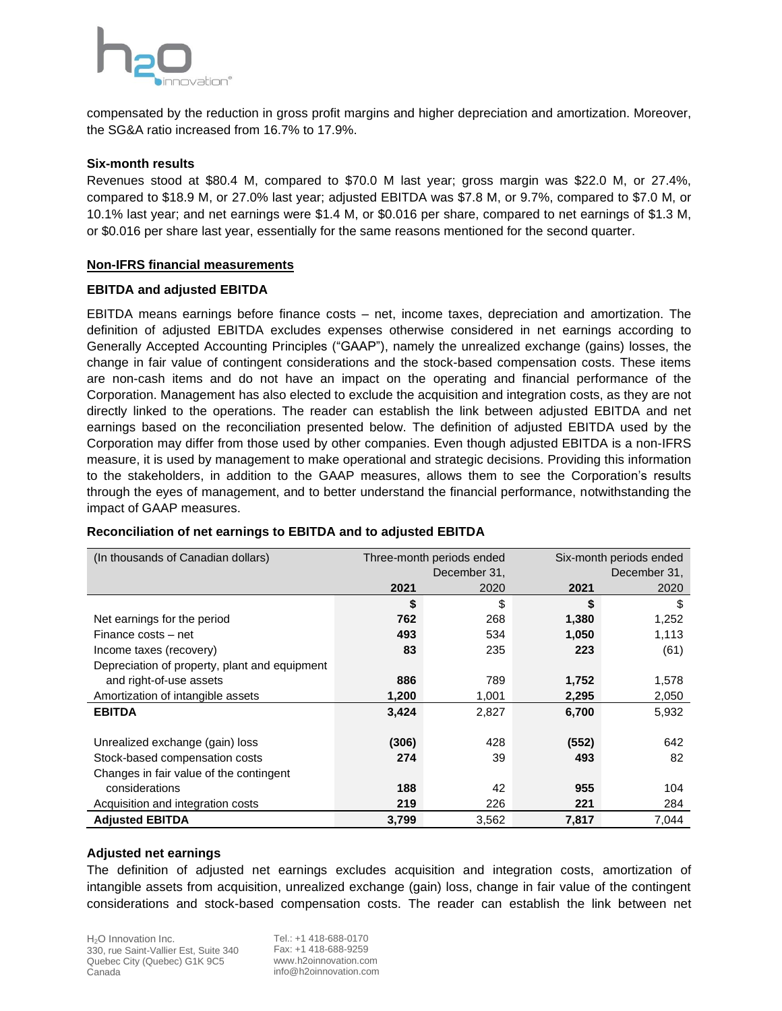

compensated by the reduction in gross profit margins and higher depreciation and amortization. Moreover, the SG&A ratio increased from 16.7% to 17.9%.

#### **Six-month results**

Revenues stood at \$80.4 M, compared to \$70.0 M last year; gross margin was \$22.0 M, or 27.4%, compared to \$18.9 M, or 27.0% last year; adjusted EBITDA was \$7.8 M, or 9.7%, compared to \$7.0 M, or 10.1% last year; and net earnings were \$1.4 M, or \$0.016 per share, compared to net earnings of \$1.3 M, or \$0.016 per share last year, essentially for the same reasons mentioned for the second quarter.

#### **Non-IFRS financial measurements**

#### **EBITDA and adjusted EBITDA**

EBITDA means earnings before finance costs – net, income taxes, depreciation and amortization. The definition of adjusted EBITDA excludes expenses otherwise considered in net earnings according to Generally Accepted Accounting Principles ("GAAP"), namely the unrealized exchange (gains) losses, the change in fair value of contingent considerations and the stock-based compensation costs. These items are non-cash items and do not have an impact on the operating and financial performance of the Corporation. Management has also elected to exclude the acquisition and integration costs, as they are not directly linked to the operations. The reader can establish the link between adjusted EBITDA and net earnings based on the reconciliation presented below. The definition of adjusted EBITDA used by the Corporation may differ from those used by other companies. Even though adjusted EBITDA is a non-IFRS measure, it is used by management to make operational and strategic decisions. Providing this information to the stakeholders, in addition to the GAAP measures, allows them to see the Corporation's results through the eyes of management, and to better understand the financial performance, notwithstanding the impact of GAAP measures.

| (In thousands of Canadian dollars)            |       | Three-month periods ended | Six-month periods ended |       |  |
|-----------------------------------------------|-------|---------------------------|-------------------------|-------|--|
|                                               |       | December 31,              | December 31,            |       |  |
|                                               | 2021  | 2020                      | 2021                    | 2020  |  |
|                                               | \$    | \$                        | \$                      | \$    |  |
| Net earnings for the period                   | 762   | 268                       | 1,380                   | 1,252 |  |
| Finance costs – net                           | 493   | 534                       | 1,050                   | 1,113 |  |
| Income taxes (recovery)                       | 83    | 235                       | 223                     | (61)  |  |
| Depreciation of property, plant and equipment |       |                           |                         |       |  |
| and right-of-use assets                       | 886   | 789                       | 1,752                   | 1,578 |  |
| Amortization of intangible assets             | 1,200 | 1,001                     | 2,295                   | 2,050 |  |
| <b>EBITDA</b>                                 | 3,424 | 2,827                     | 6,700                   | 5,932 |  |
|                                               |       |                           |                         |       |  |
| Unrealized exchange (gain) loss               | (306) | 428                       | (552)                   | 642   |  |
| Stock-based compensation costs                | 274   | 39                        | 493                     | 82    |  |
| Changes in fair value of the contingent       |       |                           |                         |       |  |
| considerations                                | 188   | 42                        | 955                     | 104   |  |
| Acquisition and integration costs             | 219   | 226                       | 221                     | 284   |  |
| <b>Adjusted EBITDA</b>                        | 3,799 | 3,562                     | 7,817                   | 7,044 |  |

#### **Reconciliation of net earnings to EBITDA and to adjusted EBITDA**

#### **Adjusted net earnings**

The definition of adjusted net earnings excludes acquisition and integration costs, amortization of intangible assets from acquisition, unrealized exchange (gain) loss, change in fair value of the contingent considerations and stock-based compensation costs. The reader can establish the link between net

H<sub>2</sub>O Innovation Inc. 330, rue Saint-Vallier Est, Suite 340 Quebec City (Quebec) G1K 9C5 Canada

Tel.: +1 418-688-0170 Fax: +1 418-688-9259 www.h2oinnovation.com info@h2oinnovation.com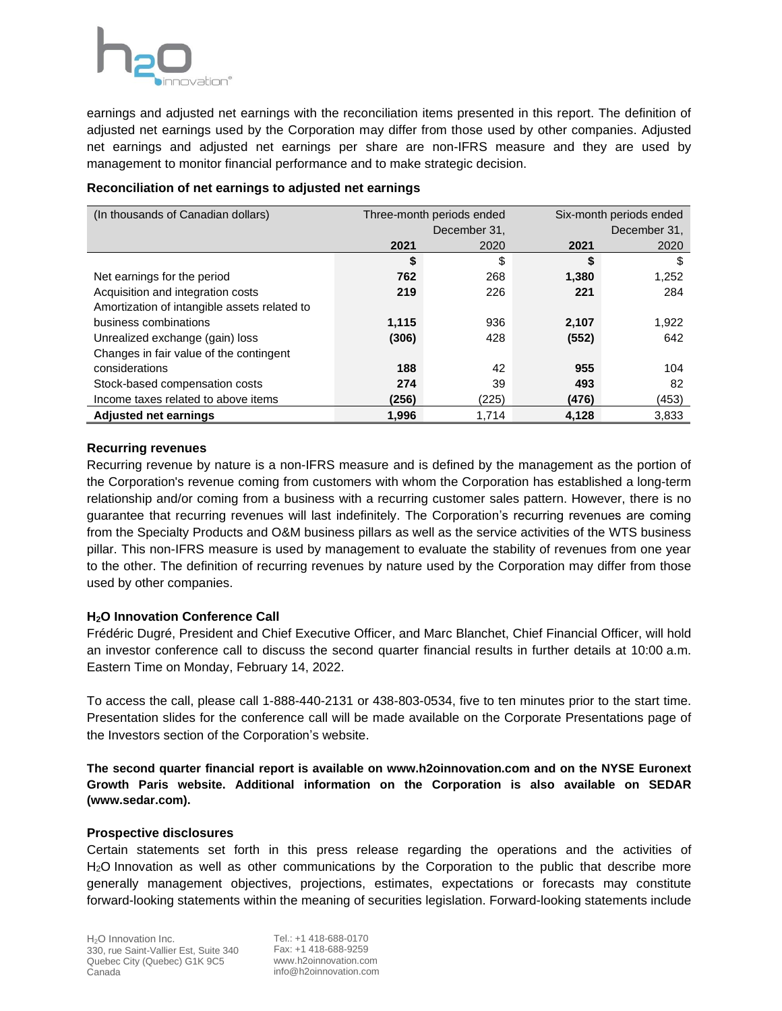earnings and adjusted net earnings with the reconciliation items presented in this report. The definition of adjusted net earnings used by the Corporation may differ from those used by other companies. Adjusted net earnings and adjusted net earnings per share are non-IFRS measure and they are used by management to monitor financial performance and to make strategic decision.

| (In thousands of Canadian dollars)           |       | Three-month periods ended | Six-month periods ended |       |  |
|----------------------------------------------|-------|---------------------------|-------------------------|-------|--|
|                                              |       | December 31.              | December 31,            |       |  |
|                                              | 2021  | 2020                      | 2021                    | 2020  |  |
|                                              | \$    | \$                        | \$                      | \$    |  |
| Net earnings for the period                  | 762   | 268                       | 1,380                   | 1,252 |  |
| Acquisition and integration costs            | 219   | 226                       | 221                     | 284   |  |
| Amortization of intangible assets related to |       |                           |                         |       |  |
| business combinations                        | 1,115 | 936                       | 2,107                   | 1,922 |  |
| Unrealized exchange (gain) loss              | (306) | 428                       | (552)                   | 642   |  |
| Changes in fair value of the contingent      |       |                           |                         |       |  |
| considerations                               | 188   | 42                        | 955                     | 104   |  |
| Stock-based compensation costs               | 274   | 39                        | 493                     | 82    |  |
| Income taxes related to above items          | (256) | (225)                     | (476)                   | (453) |  |
| <b>Adjusted net earnings</b>                 | 1.996 | 1.714                     | 4.128                   | 3.833 |  |

#### **Reconciliation of net earnings to adjusted net earnings**

### **Recurring revenues**

Recurring revenue by nature is a non-IFRS measure and is defined by the management as the portion of the Corporation's revenue coming from customers with whom the Corporation has established a long-term relationship and/or coming from a business with a recurring customer sales pattern. However, there is no guarantee that recurring revenues will last indefinitely. The Corporation's recurring revenues are coming from the Specialty Products and O&M business pillars as well as the service activities of the WTS business pillar. This non-IFRS measure is used by management to evaluate the stability of revenues from one year to the other. The definition of recurring revenues by nature used by the Corporation may differ from those used by other companies.

## **H2O Innovation Conference Call**

Frédéric Dugré, President and Chief Executive Officer, and Marc Blanchet, Chief Financial Officer, will hold an investor conference call to discuss the second quarter financial results in further details at 10:00 a.m. Eastern Time on Monday, February 14, 2022.

To access the call, please call 1-888-440-2131 or 438-803-0534, five to ten minutes prior to the start time. Presentation slides for the conference call will be made available on the Corporate Presentations page of the Investors section of the Corporation's website.

**The second quarter financial report is available on www.h2oinnovation.com and on the NYSE Euronext Growth Paris website. Additional information on the Corporation is also available on SEDAR (www.sedar.com).**

## **Prospective disclosures**

Certain statements set forth in this press release regarding the operations and the activities of H2O Innovation as well as other communications by the Corporation to the public that describe more generally management objectives, projections, estimates, expectations or forecasts may constitute forward-looking statements within the meaning of securities legislation. Forward-looking statements include

Tel.: +1 418-688-0170 Fax: +1 418-688-9259 www.h2oinnovation.com info@h2oinnovation.com